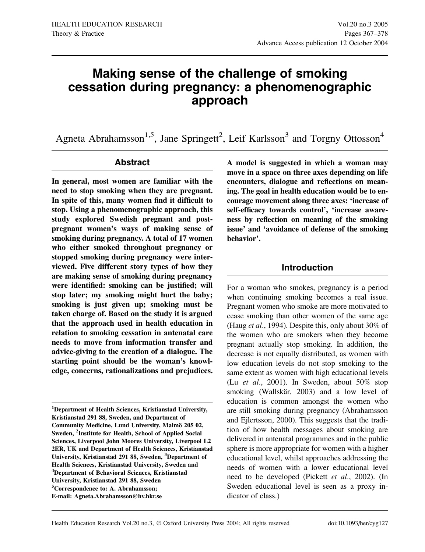# Making sense of the challenge of smoking cessation during pregnancy: a phenomenographic approach

Agneta Abrahamsson<sup>1,5</sup>, Jane Springett<sup>2</sup>, Leif Karlsson<sup>3</sup> and Torgny Ottosson<sup>4</sup>

## Abstract

In general, most women are familiar with the need to stop smoking when they are pregnant. In spite of this, many women find it difficult to stop. Using a phenomenographic approach, this study explored Swedish pregnant and postpregnant women's ways of making sense of smoking during pregnancy. A total of 17 women who either smoked throughout pregnancy or stopped smoking during pregnancy were interviewed. Five different story types of how they are making sense of smoking during pregnancy were identified: smoking can be justified; will stop later; my smoking might hurt the baby; smoking is just given up; smoking must be taken charge of. Based on the study it is argued that the approach used in health education in relation to smoking cessation in antenatal care needs to move from information transfer and advice-giving to the creation of a dialogue. The starting point should be the woman's knowledge, concerns, rationalizations and prejudices.

A model is suggested in which a woman may move in a space on three axes depending on life encounters, dialogue and reflections on meaning. The goal in health education would be to encourage movement along three axes: 'increase of self-efficacy towards control', 'increase awareness by reflection on meaning of the smoking issue' and 'avoidance of defense of the smoking behavior'.

## Introduction

For a woman who smokes, pregnancy is a period when continuing smoking becomes a real issue. Pregnant women who smoke are more motivated to cease smoking than other women of the same age (Haug *et al.*, 1994). Despite this, only about 30% of the women who are smokers when they become pregnant actually stop smoking. In addition, the decrease is not equally distributed, as women with low education levels do not stop smoking to the same extent as women with high educational levels (Lu et al., 2001). In Sweden, about 50% stop smoking (Wallskär, 2003) and a low level of education is common amongst the women who are still smoking during pregnancy (Abrahamsson and Ejlertsson, 2000). This suggests that the tradition of how health messages about smoking are delivered in antenatal programmes and in the public sphere is more appropriate for women with a higher educational level, whilst approaches addressing the needs of women with a lower educational level need to be developed (Pickett et al., 2002). (In Sweden educational level is seen as a proxy indicator of class.)

<sup>&</sup>lt;sup>1</sup>Department of Health Sciences, Kristianstad University, Kristianstad 291 88, Sweden, and Department of Community Medicine, Lund University, Malmö 205 02, Sweden, <sup>2</sup>Institute for Health, School of Applied Social Sciences, Liverpool John Moores University, Liverpool L2 2ER, UK and Department of Health Sciences, Kristianstad University, Kristianstad 291 88, Sweden, <sup>3</sup>Department of Health Sciences, Kristianstad University, Sweden and 4 Department of Behavioral Sciences, Kristianstad University, Kristianstad 291 88, Sweden 5 Correspondence to: A. Abrahamsson; E-mail: Agneta.Abrahamsson@hv.hkr.se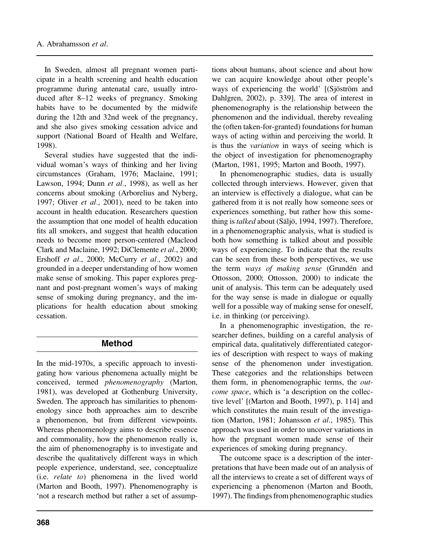In Sweden, almost all pregnant women participate in a health screening and health education programme during antenatal care, usually introduced after 8–12 weeks of pregnancy. Smoking habits have to be documented by the midwife during the 12th and 32nd week of the pregnancy, and she also gives smoking cessation advice and support (National Board of Health and Welfare, 1998).

Several studies have suggested that the individual woman's ways of thinking and her living circumstances (Graham, 1976; Maclaine, 1991; Lawson, 1994; Dunn et al., 1998), as well as her concerns about smoking (Arborelius and Nyberg, 1997; Oliver et al., 2001), need to be taken into account in health education. Researchers question the assumption that one model of health education fits all smokers, and suggest that health education needs to become more person-centered (Macleod Clark and Maclaine, 1992; DiClemente et al., 2000; Ershoff et al., 2000; McCurry et al., 2002) and grounded in a deeper understanding of how women make sense of smoking. This paper explores pregnant and post-pregnant women's ways of making sense of smoking during pregnancy, and the implications for health education about smoking cessation.

## Method

In the mid-1970s, a specific approach to investigating how various phenomena actually might be conceived, termed phenomenography (Marton, 1981), was developed at Gothenburg University, Sweden. The approach has similarities to phenomenology since both approaches aim to describe a phenomenon, but from different viewpoints. Whereas phenomenology aims to describe essence and commonality, how the phenomenon really is, the aim of phenomenography is to investigate and describe the qualitatively different ways in which people experience, understand, see, conceptualize (i.e. relate to) phenomena in the lived world (Marton and Booth, 1997). Phenomenography is 'not a research method but rather a set of assumptions about humans, about science and about how we can acquire knowledge about other people's ways of experiencing the world' [(Sjöström and Dahlgren, 2002), p. 339]. The area of interest in phenomenography is the relationship between the phenomenon and the individual, thereby revealing the (often taken-for-granted) foundations for human ways of acting within and perceiving the world. It is thus the variation in ways of seeing which is the object of investigation for phenomenography (Marton, 1981, 1995; Marton and Booth, 1997).

In phenomenographic studies, data is usually collected through interviews. However, given that an interview is effectively a dialogue, what can be gathered from it is not really how someone sees or experiences something, but rather how this something is talked about (Säljö, 1994, 1997). Therefore, in a phenomenographic analysis, what is studied is both how something is talked about and possible ways of experiencing. To indicate that the results can be seen from these both perspectives, we use the term ways of making sense (Grundén and Ottosson, 2000; Ottosson, 2000) to indicate the unit of analysis. This term can be adequately used for the way sense is made in dialogue or equally well for a possible way of making sense for oneself, i.e. in thinking (or perceiving).

In a phenomenographic investigation, the researcher defines, building on a careful analysis of empirical data, qualitatively differentiated categories of description with respect to ways of making sense of the phenomenon under investigation. These categories and the relationships between them form, in phenomenographic terms, the *out*come space, which is 'a description on the collective level' [(Marton and Booth, 1997), p. 114] and which constitutes the main result of the investigation (Marton, 1981; Johansson et al., 1985). This approach was used in order to uncover variations in how the pregnant women made sense of their experiences of smoking during pregnancy.

The outcome space is a description of the interpretations that have been made out of an analysis of all the interviews to create a set of different ways of experiencing a phenomenon (Marton and Booth, 1997). The findings from phenomenographic studies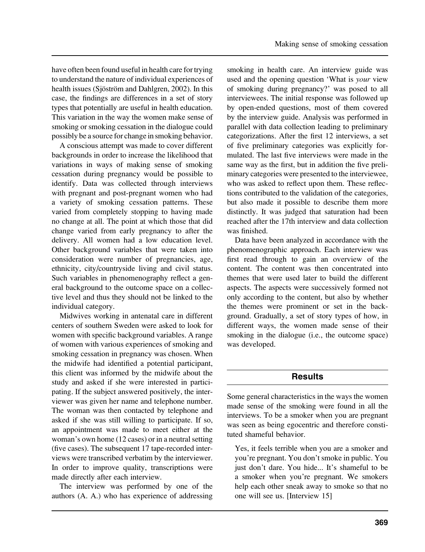have often been found useful in health care for trying to understand the nature of individual experiences of health issues (Sjöström and Dahlgren, 2002). In this case, the findings are differences in a set of story types that potentially are useful in health education. This variation in the way the women make sense of smoking or smoking cessation in the dialogue could possibly be a source for change in smoking behavior.

A conscious attempt was made to cover different backgrounds in order to increase the likelihood that variations in ways of making sense of smoking cessation during pregnancy would be possible to identify. Data was collected through interviews with pregnant and post-pregnant women who had a variety of smoking cessation patterns. These varied from completely stopping to having made no change at all. The point at which those that did change varied from early pregnancy to after the delivery. All women had a low education level. Other background variables that were taken into consideration were number of pregnancies, age, ethnicity, city/countryside living and civil status. Such variables in phenomenography reflect a general background to the outcome space on a collective level and thus they should not be linked to the individual category.

Midwives working in antenatal care in different centers of southern Sweden were asked to look for women with specific background variables. A range of women with various experiences of smoking and smoking cessation in pregnancy was chosen. When the midwife had identified a potential participant, this client was informed by the midwife about the study and asked if she were interested in participating. If the subject answered positively, the interviewer was given her name and telephone number. The woman was then contacted by telephone and asked if she was still willing to participate. If so, an appointment was made to meet either at the woman's own home (12 cases) or in a neutral setting (five cases). The subsequent 17 tape-recorded interviews were transcribed verbatim by the interviewer. In order to improve quality, transcriptions were made directly after each interview.

The interview was performed by one of the authors (A. A.) who has experience of addressing smoking in health care. An interview guide was used and the opening question 'What is your view of smoking during pregnancy?' was posed to all interviewees. The initial response was followed up by open-ended questions, most of them covered by the interview guide. Analysis was performed in parallel with data collection leading to preliminary categorizations. After the first 12 interviews, a set of five preliminary categories was explicitly formulated. The last five interviews were made in the same way as the first, but in addition the five preliminary categories were presented to the interviewee, who was asked to reflect upon them. These reflections contributed to the validation of the categories, but also made it possible to describe them more distinctly. It was judged that saturation had been reached after the 17th interview and data collection was finished.

Data have been analyzed in accordance with the phenomenographic approach. Each interview was first read through to gain an overview of the content. The content was then concentrated into themes that were used later to build the different aspects. The aspects were successively formed not only according to the content, but also by whether the themes were prominent or set in the background. Gradually, a set of story types of how, in different ways, the women made sense of their smoking in the dialogue (i.e., the outcome space) was developed.

#### Results

Some general characteristics in the ways the women made sense of the smoking were found in all the interviews. To be a smoker when you are pregnant was seen as being egocentric and therefore constituted shameful behavior.

Yes, it feels terrible when you are a smoker and you're pregnant. You don't smoke in public. You just don't dare. You hide... It's shameful to be a smoker when you're pregnant. We smokers help each other sneak away to smoke so that no one will see us. [Interview 15]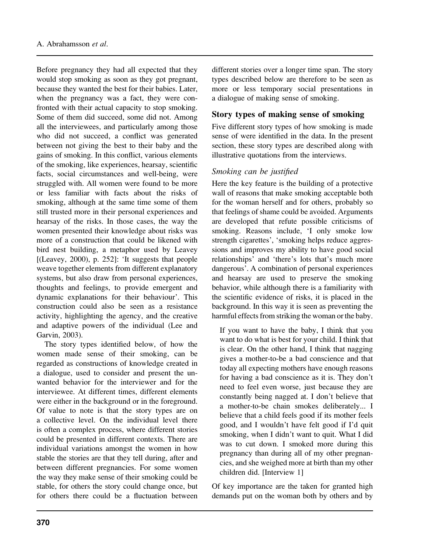Before pregnancy they had all expected that they would stop smoking as soon as they got pregnant, because they wanted the best for their babies. Later, when the pregnancy was a fact, they were confronted with their actual capacity to stop smoking. Some of them did succeed, some did not. Among all the interviewees, and particularly among those who did not succeed, a conflict was generated between not giving the best to their baby and the gains of smoking. In this conflict, various elements of the smoking, like experiences, hearsay, scientific facts, social circumstances and well-being, were struggled with. All women were found to be more or less familiar with facts about the risks of smoking, although at the same time some of them still trusted more in their personal experiences and hearsay of the risks. In those cases, the way the women presented their knowledge about risks was more of a construction that could be likened with bird nest building, a metaphor used by Leavey [(Leavey, 2000), p. 252]: 'It suggests that people weave together elements from different explanatory systems, but also draw from personal experiences, thoughts and feelings, to provide emergent and dynamic explanations for their behaviour'. This construction could also be seen as a resistance activity, highlighting the agency, and the creative and adaptive powers of the individual (Lee and Garvin, 2003).

The story types identified below, of how the women made sense of their smoking, can be regarded as constructions of knowledge created in a dialogue, used to consider and present the unwanted behavior for the interviewer and for the interviewee. At different times, different elements were either in the background or in the foreground. Of value to note is that the story types are on a collective level. On the individual level there is often a complex process, where different stories could be presented in different contexts. There are individual variations amongst the women in how stable the stories are that they tell during, after and between different pregnancies. For some women the way they make sense of their smoking could be stable, for others the story could change once, but for others there could be a fluctuation between different stories over a longer time span. The story types described below are therefore to be seen as more or less temporary social presentations in a dialogue of making sense of smoking.

## Story types of making sense of smoking

Five different story types of how smoking is made sense of were identified in the data. In the present section, these story types are described along with illustrative quotations from the interviews.

## Smoking can be justified

Here the key feature is the building of a protective wall of reasons that make smoking acceptable both for the woman herself and for others, probably so that feelings of shame could be avoided. Arguments are developed that refute possible criticisms of smoking. Reasons include, 'I only smoke low strength cigarettes', 'smoking helps reduce aggressions and improves my ability to have good social relationships' and 'there's lots that's much more dangerous'. A combination of personal experiences and hearsay are used to preserve the smoking behavior, while although there is a familiarity with the scientific evidence of risks, it is placed in the background. In this way it is seen as preventing the harmful effects from striking the woman or the baby.

If you want to have the baby, I think that you want to do what is best for your child. I think that is clear. On the other hand, I think that nagging gives a mother-to-be a bad conscience and that today all expecting mothers have enough reasons for having a bad conscience as it is. They don't need to feel even worse, just because they are constantly being nagged at. I don't believe that a mother-to-be chain smokes deliberately... I believe that a child feels good if its mother feels good, and I wouldn't have felt good if I'd quit smoking, when I didn't want to quit. What I did was to cut down. I smoked more during this pregnancy than during all of my other pregnancies, and she weighed more at birth than my other children did. [Interview 1]

Of key importance are the taken for granted high demands put on the woman both by others and by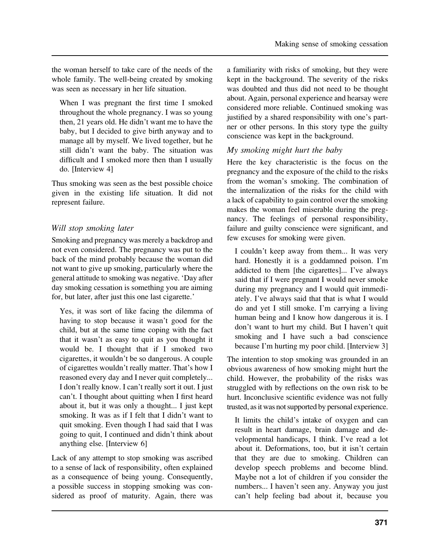the woman herself to take care of the needs of the whole family. The well-being created by smoking was seen as necessary in her life situation.

When I was pregnant the first time I smoked throughout the whole pregnancy. I was so young then, 21 years old. He didn't want me to have the baby, but I decided to give birth anyway and to manage all by myself. We lived together, but he still didn't want the baby. The situation was difficult and I smoked more then than I usually do. [Interview 4]

Thus smoking was seen as the best possible choice given in the existing life situation. It did not represent failure.

## Will stop smoking later

Smoking and pregnancy was merely a backdrop and not even considered. The pregnancy was put to the back of the mind probably because the woman did not want to give up smoking, particularly where the general attitude to smoking was negative. 'Day after day smoking cessation is something you are aiming for, but later, after just this one last cigarette.'

Yes, it was sort of like facing the dilemma of having to stop because it wasn't good for the child, but at the same time coping with the fact that it wasn't as easy to quit as you thought it would be. I thought that if I smoked two cigarettes, it wouldn't be so dangerous. A couple of cigarettes wouldn't really matter. That's how I reasoned every day and I never quit completely... I don't really know. I can't really sort it out. I just can't. I thought about quitting when I first heard about it, but it was only a thought... I just kept smoking. It was as if I felt that I didn't want to quit smoking. Even though I had said that I was going to quit, I continued and didn't think about anything else. [Interview 6]

Lack of any attempt to stop smoking was ascribed to a sense of lack of responsibility, often explained as a consequence of being young. Consequently, a possible success in stopping smoking was considered as proof of maturity. Again, there was a familiarity with risks of smoking, but they were kept in the background. The severity of the risks was doubted and thus did not need to be thought about. Again, personal experience and hearsay were considered more reliable. Continued smoking was justified by a shared responsibility with one's partner or other persons. In this story type the guilty conscience was kept in the background.

# My smoking might hurt the baby

Here the key characteristic is the focus on the pregnancy and the exposure of the child to the risks from the woman's smoking. The combination of the internalization of the risks for the child with a lack of capability to gain control over the smoking makes the woman feel miserable during the pregnancy. The feelings of personal responsibility, failure and guilty conscience were significant, and few excuses for smoking were given.

I couldn't keep away from them... It was very hard. Honestly it is a goddamned poison. I'm addicted to them [the cigarettes]... I've always said that if I were pregnant I would never smoke during my pregnancy and I would quit immediately. I've always said that that is what I would do and yet I still smoke. I'm carrying a living human being and I know how dangerous it is. I don't want to hurt my child. But I haven't quit smoking and I have such a bad conscience because I'm hurting my poor child. [Interview 3]

The intention to stop smoking was grounded in an obvious awareness of how smoking might hurt the child. However, the probability of the risks was struggled with by reflections on the own risk to be hurt. Inconclusive scientific evidence was not fully trusted, as it was not supported by personal experience.

It limits the child's intake of oxygen and can result in heart damage, brain damage and developmental handicaps, I think. I've read a lot about it. Deformations, too, but it isn't certain that they are due to smoking. Children can develop speech problems and become blind. Maybe not a lot of children if you consider the numbers... I haven't seen any. Anyway you just can't help feeling bad about it, because you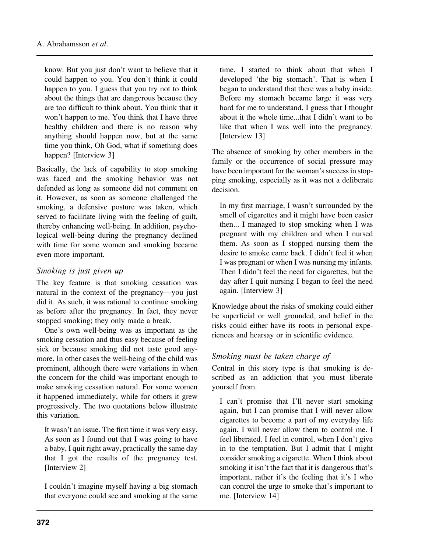know. But you just don't want to believe that it could happen to you. You don't think it could happen to you. I guess that you try not to think about the things that are dangerous because they are too difficult to think about. You think that it won't happen to me. You think that I have three healthy children and there is no reason why anything should happen now, but at the same time you think, Oh God, what if something does happen? [Interview 3]

Basically, the lack of capability to stop smoking was faced and the smoking behavior was not defended as long as someone did not comment on it. However, as soon as someone challenged the smoking, a defensive posture was taken, which served to facilitate living with the feeling of guilt, thereby enhancing well-being. In addition, psychological well-being during the pregnancy declined with time for some women and smoking became even more important.

#### Smoking is just given up

The key feature is that smoking cessation was natural in the context of the pregnancy—you just did it. As such, it was rational to continue smoking as before after the pregnancy. In fact, they never stopped smoking; they only made a break.

One's own well-being was as important as the smoking cessation and thus easy because of feeling sick or because smoking did not taste good anymore. In other cases the well-being of the child was prominent, although there were variations in when the concern for the child was important enough to make smoking cessation natural. For some women it happened immediately, while for others it grew progressively. The two quotations below illustrate this variation.

It wasn't an issue. The first time it was very easy. As soon as I found out that I was going to have a baby, I quit right away, practically the same day that I got the results of the pregnancy test. [Interview 2]

I couldn't imagine myself having a big stomach that everyone could see and smoking at the same time. I started to think about that when I developed 'the big stomach'. That is when I began to understand that there was a baby inside. Before my stomach became large it was very hard for me to understand. I guess that I thought about it the whole time...that I didn't want to be like that when I was well into the pregnancy. [Interview 13]

The absence of smoking by other members in the family or the occurrence of social pressure may have been important for the woman's success in stopping smoking, especially as it was not a deliberate decision.

In my first marriage, I wasn't surrounded by the smell of cigarettes and it might have been easier then... I managed to stop smoking when I was pregnant with my children and when I nursed them. As soon as I stopped nursing them the desire to smoke came back. I didn't feel it when I was pregnant or when I was nursing my infants. Then I didn't feel the need for cigarettes, but the day after I quit nursing I began to feel the need again. [Interview 3]

Knowledge about the risks of smoking could either be superficial or well grounded, and belief in the risks could either have its roots in personal experiences and hearsay or in scientific evidence.

## Smoking must be taken charge of

Central in this story type is that smoking is described as an addiction that you must liberate yourself from.

I can't promise that I'll never start smoking again, but I can promise that I will never allow cigarettes to become a part of my everyday life again. I will never allow them to control me. I feel liberated. I feel in control, when I don't give in to the temptation. But I admit that I might consider smoking a cigarette. When I think about smoking it isn't the fact that it is dangerous that's important, rather it's the feeling that it's I who can control the urge to smoke that's important to me. [Interview 14]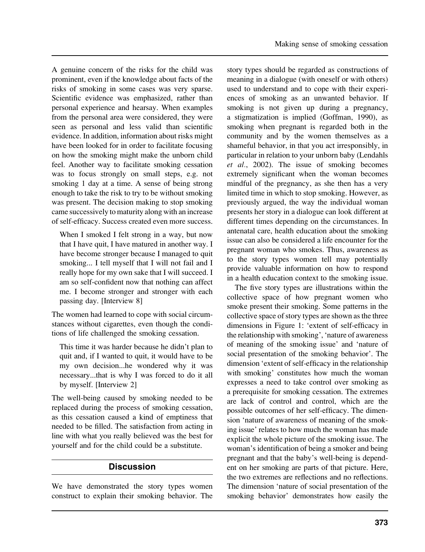A genuine concern of the risks for the child was prominent, even if the knowledge about facts of the risks of smoking in some cases was very sparse. Scientific evidence was emphasized, rather than personal experience and hearsay. When examples from the personal area were considered, they were seen as personal and less valid than scientific evidence. In addition, information about risks might have been looked for in order to facilitate focusing on how the smoking might make the unborn child feel. Another way to facilitate smoking cessation was to focus strongly on small steps, e.g. not smoking 1 day at a time. A sense of being strong enough to take the risk to try to be without smoking was present. The decision making to stop smoking came successively to maturity along with an increase of self-efficacy. Success created even more success.

When I smoked I felt strong in a way, but now that I have quit, I have matured in another way. I have become stronger because I managed to quit smoking... I tell myself that I will not fail and I really hope for my own sake that I will succeed. I am so self-confident now that nothing can affect me. I become stronger and stronger with each passing day. [Interview 8]

The women had learned to cope with social circumstances without cigarettes, even though the conditions of life challenged the smoking cessation.

This time it was harder because he didn't plan to quit and, if I wanted to quit, it would have to be my own decision...he wondered why it was necessary...that is why I was forced to do it all by myself. [Interview 2]

The well-being caused by smoking needed to be replaced during the process of smoking cessation, as this cessation caused a kind of emptiness that needed to be filled. The satisfaction from acting in line with what you really believed was the best for yourself and for the child could be a substitute.

# **Discussion**

We have demonstrated the story types women construct to explain their smoking behavior. The story types should be regarded as constructions of meaning in a dialogue (with oneself or with others) used to understand and to cope with their experiences of smoking as an unwanted behavior. If smoking is not given up during a pregnancy, a stigmatization is implied (Goffman, 1990), as smoking when pregnant is regarded both in the community and by the women themselves as a shameful behavior, in that you act irresponsibly, in particular in relation to your unborn baby (Lendahls et al., 2002). The issue of smoking becomes extremely significant when the woman becomes mindful of the pregnancy, as she then has a very limited time in which to stop smoking. However, as previously argued, the way the individual woman presents her story in a dialogue can look different at different times depending on the circumstances. In antenatal care, health education about the smoking issue can also be considered a life encounter for the pregnant woman who smokes. Thus, awareness as to the story types women tell may potentially provide valuable information on how to respond in a health education context to the smoking issue.

The five story types are illustrations within the collective space of how pregnant women who smoke present their smoking. Some patterns in the collective space of story types are shown as the three dimensions in Figure 1: 'extent of self-efficacy in the relationship with smoking', 'nature of awareness of meaning of the smoking issue' and 'nature of social presentation of the smoking behavior'. The dimension 'extent of self-efficacy in the relationship with smoking' constitutes how much the woman expresses a need to take control over smoking as a prerequisite for smoking cessation. The extremes are lack of control and control, which are the possible outcomes of her self-efficacy. The dimension 'nature of awareness of meaning of the smoking issue' relates to how much the woman has made explicit the whole picture of the smoking issue. The woman's identification of being a smoker and being pregnant and that the baby's well-being is dependent on her smoking are parts of that picture. Here, the two extremes are reflections and no reflections. The dimension 'nature of social presentation of the smoking behavior' demonstrates how easily the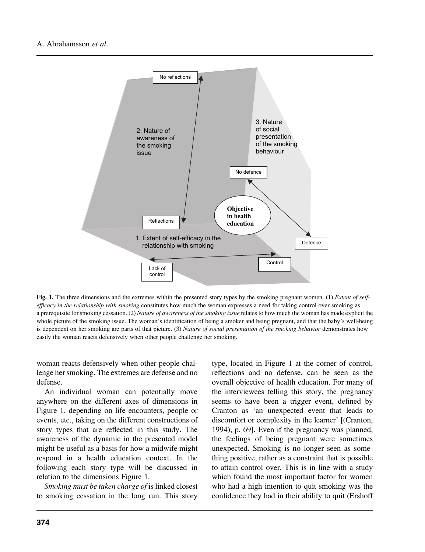

Fig. 1. The three dimensions and the extremes within the presented story types by the smoking pregnant women. (1) Extent of selfefficacy in the relationship with smoking constitutes how much the woman expresses a need for taking control over smoking as a prerequisite for smoking cessation. (2) Nature of awareness of the smoking issue relates to how much the woman has made explicit the whole picture of the smoking issue. The woman's identification of being a smoker and being pregnant, and that the baby's well-being is dependent on her smoking are parts of that picture. (3) Nature of social presentation of the smoking behavior demonstrates how easily the woman reacts defensively when other people challenge her smoking.

woman reacts defensively when other people challenge her smoking. The extremes are defense and no defense.

An individual woman can potentially move anywhere on the different axes of dimensions in Figure 1, depending on life encounters, people or events, etc., taking on the different constructions of story types that are reflected in this study. The awareness of the dynamic in the presented model might be useful as a basis for how a midwife might respond in a health education context. In the following each story type will be discussed in relation to the dimensions Figure 1.

Smoking must be taken charge of is linked closest to smoking cessation in the long run. This story type, located in Figure 1 at the corner of control, reflections and no defense, can be seen as the overall objective of health education. For many of the interviewees telling this story, the pregnancy seems to have been a trigger event, defined by Cranton as 'an unexpected event that leads to discomfort or complexity in the learner' [(Cranton, 1994), p. 69]. Even if the pregnancy was planned, the feelings of being pregnant were sometimes unexpected. Smoking is no longer seen as something positive, rather as a constraint that is possible to attain control over. This is in line with a study which found the most important factor for women who had a high intention to quit smoking was the confidence they had in their ability to quit (Ershoff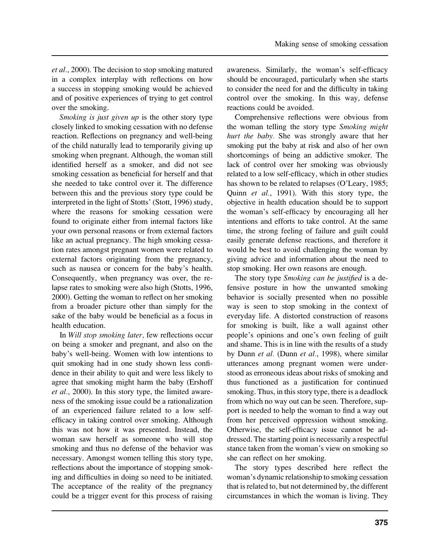et al., 2000). The decision to stop smoking matured in a complex interplay with reflections on how a success in stopping smoking would be achieved and of positive experiences of trying to get control over the smoking.

Smoking is just given up is the other story type closely linked to smoking cessation with no defense reaction. Reflections on pregnancy and well-being of the child naturally lead to temporarily giving up smoking when pregnant. Although, the woman still identified herself as a smoker, and did not see smoking cessation as beneficial for herself and that she needed to take control over it. The difference between this and the previous story type could be interpreted in the light of Stotts' (Stott, 1996) study, where the reasons for smoking cessation were found to originate either from internal factors like your own personal reasons or from external factors like an actual pregnancy. The high smoking cessation rates amongst pregnant women were related to external factors originating from the pregnancy, such as nausea or concern for the baby's health. Consequently, when pregnancy was over, the relapse rates to smoking were also high (Stotts, 1996, 2000). Getting the woman to reflect on her smoking from a broader picture other than simply for the sake of the baby would be beneficial as a focus in health education.

In Will stop smoking later, few reflections occur on being a smoker and pregnant, and also on the baby's well-being. Women with low intentions to quit smoking had in one study shown less confidence in their ability to quit and were less likely to agree that smoking might harm the baby (Ershoff et al., 2000). In this story type, the limited awareness of the smoking issue could be a rationalization of an experienced failure related to a low selfefficacy in taking control over smoking. Although this was not how it was presented. Instead, the woman saw herself as someone who will stop smoking and thus no defense of the behavior was necessary. Amongst women telling this story type, reflections about the importance of stopping smoking and difficulties in doing so need to be initiated. The acceptance of the reality of the pregnancy could be a trigger event for this process of raising awareness. Similarly, the woman's self-efficacy should be encouraged, particularly when she starts to consider the need for and the difficulty in taking control over the smoking. In this way, defense reactions could be avoided.

Comprehensive reflections were obvious from the woman telling the story type Smoking might hurt the baby. She was strongly aware that her smoking put the baby at risk and also of her own shortcomings of being an addictive smoker. The lack of control over her smoking was obviously related to a low self-efficacy, which in other studies has shown to be related to relapses (O'Leary, 1985; Quinn et al., 1991). With this story type, the objective in health education should be to support the woman's self-efficacy by encouraging all her intentions and efforts to take control. At the same time, the strong feeling of failure and guilt could easily generate defense reactions, and therefore it would be best to avoid challenging the woman by giving advice and information about the need to stop smoking. Her own reasons are enough.

The story type Smoking can be justified is a defensive posture in how the unwanted smoking behavior is socially presented when no possible way is seen to stop smoking in the context of everyday life. A distorted construction of reasons for smoking is built, like a wall against other people's opinions and one's own feeling of guilt and shame. This is in line with the results of a study by Dunn et al. (Dunn et al., 1998), where similar utterances among pregnant women were understood as erroneous ideas about risks of smoking and thus functioned as a justification for continued smoking. Thus, in this story type, there is a deadlock from which no way out can be seen. Therefore, support is needed to help the woman to find a way out from her perceived oppression without smoking. Otherwise, the self-efficacy issue cannot be addressed. The starting point is necessarily a respectful stance taken from the woman's view on smoking so she can reflect on her smoking.

The story types described here reflect the woman's dynamic relationship to smoking cessation that is related to, but not determined by, the different circumstances in which the woman is living. They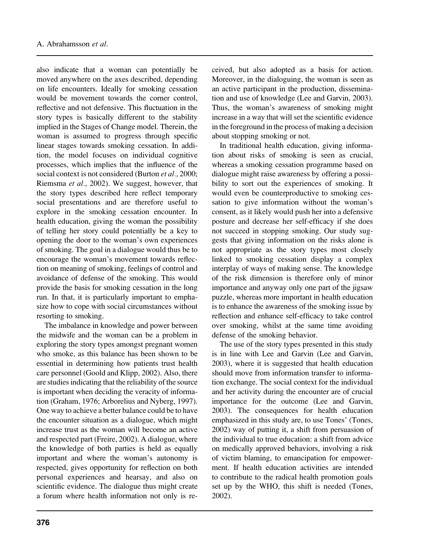also indicate that a woman can potentially be moved anywhere on the axes described, depending on life encounters. Ideally for smoking cessation would be movement towards the corner control, reflective and not defensive. This fluctuation in the story types is basically different to the stability implied in the Stages of Change model. Therein, the woman is assumed to progress through specific linear stages towards smoking cessation. In addition, the model focuses on individual cognitive processes, which implies that the influence of the social context is not considered (Burton et al., 2000; Riemsma et al., 2002). We suggest, however, that the story types described here reflect temporary social presentations and are therefore useful to explore in the smoking cessation encounter. In health education, giving the woman the possibility of telling her story could potentially be a key to opening the door to the woman's own experiences of smoking. The goal in a dialogue would thus be to encourage the woman's movement towards reflection on meaning of smoking, feelings of control and avoidance of defense of the smoking. This would provide the basis for smoking cessation in the long run. In that, it is particularly important to emphasize how to cope with social circumstances without resorting to smoking.

The imbalance in knowledge and power between the midwife and the woman can be a problem in exploring the story types amongst pregnant women who smoke, as this balance has been shown to be essential in determining how patients trust health care personnel (Goold and Klipp, 2002). Also, there are studies indicating that the reliability of the source is important when deciding the veracity of information (Graham, 1976; Arborelius and Nyberg, 1997). One way to achieve a better balance could be to have the encounter situation as a dialogue, which might increase trust as the woman will become an active and respected part (Freire, 2002). A dialogue, where the knowledge of both parties is held as equally important and where the woman's autonomy is respected, gives opportunity for reflection on both personal experiences and hearsay, and also on scientific evidence. The dialogue thus might create a forum where health information not only is received, but also adopted as a basis for action. Moreover, in the dialoguing, the woman is seen as an active participant in the production, dissemination and use of knowledge (Lee and Garvin, 2003). Thus, the woman's awareness of smoking might increase in a way that will set the scientific evidence in the foreground in the process of making a decision about stopping smoking or not.

In traditional health education, giving information about risks of smoking is seen as crucial, whereas a smoking cessation programme based on dialogue might raise awareness by offering a possibility to sort out the experiences of smoking. It would even be counterproductive to smoking cessation to give information without the woman's consent, as it likely would push her into a defensive posture and decrease her self-efficacy if she does not succeed in stopping smoking. Our study suggests that giving information on the risks alone is not appropriate as the story types most closely linked to smoking cessation display a complex interplay of ways of making sense. The knowledge of the risk dimension is therefore only of minor importance and anyway only one part of the jigsaw puzzle, whereas more important in health education is to enhance the awareness of the smoking issue by reflection and enhance self-efficacy to take control over smoking, whilst at the same time avoiding defense of the smoking behavior.

The use of the story types presented in this study is in line with Lee and Garvin (Lee and Garvin, 2003), where it is suggested that health education should move from information transfer to information exchange. The social context for the individual and her activity during the encounter are of crucial importance for the outcome (Lee and Garvin, 2003). The consequences for health education emphasized in this study are, to use Tones' (Tones, 2002) way of putting it, a shift from persuasion of the individual to true education: a shift from advice on medically approved behaviors, involving a risk of victim blaming, to emancipation for empowerment. If health education activities are intended to contribute to the radical health promotion goals set up by the WHO, this shift is needed (Tones, 2002).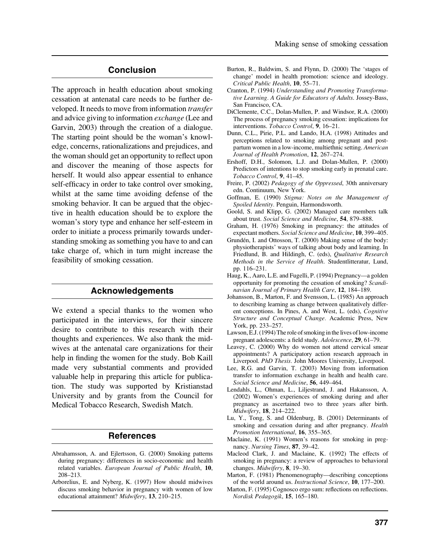#### Conclusion

The approach in health education about smoking cessation at antenatal care needs to be further developed. It needs to move from information transfer and advice giving to information exchange (Lee and Garvin, 2003) through the creation of a dialogue. The starting point should be the woman's knowledge, concerns, rationalizations and prejudices, and the woman should get an opportunity to reflect upon and discover the meaning of those aspects for herself. It would also appear essential to enhance self-efficacy in order to take control over smoking, whilst at the same time avoiding defense of the smoking behavior. It can be argued that the objective in health education should be to explore the woman's story type and enhance her self-esteem in order to initiate a process primarily towards understanding smoking as something you have to and can take charge of, which in turn might increase the feasibility of smoking cessation.

#### Acknowledgements

We extend a special thanks to the women who participated in the interviews, for their sincere desire to contribute to this research with their thoughts and experiences. We also thank the midwives at the antenatal care organizations for their help in finding the women for the study. Bob Kaill made very substantial comments and provided valuable help in preparing this article for publication. The study was supported by Kristianstad University and by grants from the Council for Medical Tobacco Research, Swedish Match.

#### References

- Abrahamsson, A. and Ejlertsson, G. (2000) Smoking patterns during pregnancy: differences in socio-economic and health related variables. European Journal of Public Health, 10, 208–213.
- Arborelius, E. and Nyberg, K. (1997) How should midwives discuss smoking behavior in pregnancy with women of low educational attainment? Midwifery, 13, 210–215.
- Burton, R., Baldwim, S. and Flynn, D. (2000) The 'stages of change' model in health promotion: science and ideology. Critical Public Health, 10, 55–71.
- Cranton, P. (1994) Understanding and Promoting Transformative Learning. A Guide for Educators of Adults. Jossey-Bass, San Francisco, CA.
- DiClemente, C.C., Dolan-Mullen, P. and Windsor, R.A. (2000) The process of pregnancy smoking cessation: implications for interventions. Tobacco Control, 9, 16–21.
- Dunn, C.L., Pirie, P.L. and Lando, H.A. (1998) Attitudes and perceptions related to smoking among pregnant and postpartum women in a low-income, multiethnic setting. American Journal of Health Promotion, 12, 267–274.
- Ershoff, D.H., Solomon, L.J. and Dolan-Mullen, P. (2000) Predictors of intentions to stop smoking early in prenatal care. Tobacco Control, 9, 41–45.
- Freire, P. (2002) Pedagogy of the Oppressed, 30th anniversary edn. Continuum, New York.
- Goffman, E. (1990) Stigma: Notes on the Management of Spoiled Identity. Penguin, Harmondsworth.
- Goold, S. and Klipp, G. (2002) Managed care members talk about trust. Social Science and Medicine, 54, 879–888.
- Graham, H. (1976) Smoking in pregnancy: the attitudes of expectant mothers. Social Science and Medicine, 10, 399–405.
- Grundén, I. and Ottosson, T. (2000) Making sense of the body: physiotherapists' ways of talking about body and learning. In Friedlund, B. and Hildingh, C. (eds), Qualitative Research Methods in the Service of Health. Studentlitteratur, Lund, pp. 116–231.
- Haug, K., Aaro, L.E. and Fugelli, P. (1994) Pregnancy—a golden opportunity for promoting the cessation of smoking? Scandinavian Journal of Primary Health Care, 12, 184–189.
- Johansson, B., Marton, F. and Svensson, L. (1985) An approach to describing learning as change between qualitatively different conceptions. In Pines, A. and West, L. (eds), Cognitive Structure and Conceptual Change. Academic Press, New York, pp. 233–257.
- Lawson, E.J. (1994) The role of smoking in the lives of low-income pregnant adolescents: a field study. Adolescence, 29, 61–79.
- Leavey, C. (2000) Why do women not attend cervical smear appointments? A participatory action research approach in Liverpool. PhD Thesis. John Moores University, Liverpool.
- Lee, R.G. and Garvin, T. (2003) Moving from information transfer to information exchange in health and health care. Social Science and Medicine, 56, 449–464.
- Lendahls, L., Ohman, L., Liljestrand, J. and Hakansson, A. (2002) Women's experiences of smoking during and after pregnancy as ascertained two to three years after birth. Midwifery, 18, 214–222.
- Lu, Y., Tong, S. and Oldenburg, B. (2001) Determinants of smoking and cessation during and after pregnancy. Health Promotion International, 16, 355–365.
- Maclaine, K. (1991) Women's reasons for smoking in pregnancy. Nursing Times, 87, 39–42.
- Macleod Clark, J. and Maclaine, K. (1992) The effects of smoking in pregnancy: a review of approaches to behavioral changes. Midwifery, 8, 19–30.
- Marton, F. (1981) Phenomenography—describing conceptions of the world around us. Instructional Science, 10, 177–200.
- Marton, F. (1995) Cognosco ergo sum: reflections on reflections. Nordisk Pedagogik, 15, 165–180.